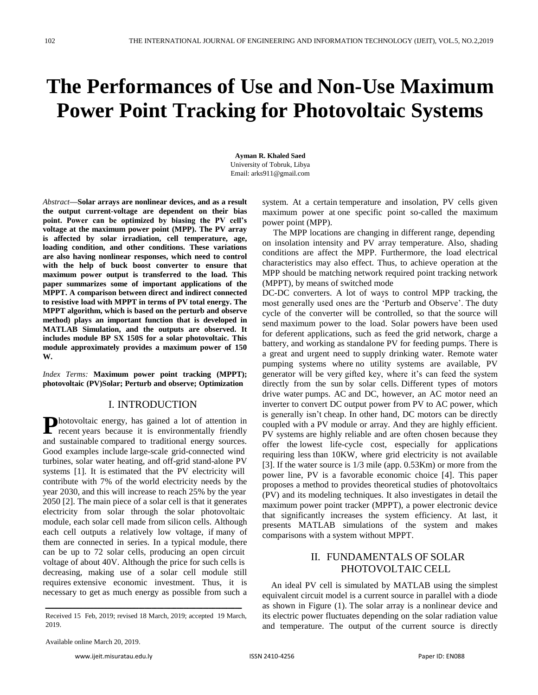# **The Performances of Use and Non-Use Maximum Power Point Tracking for Photovoltaic Systems**

**Ayman R. Khaled Saed** University of Tobruk, Libya [Email: arks911@gmail.com](mailto:arks911@gmail.com)

*Abstract***—Solar arrays are nonlinear devices, and as a result the output current-voltage are dependent on their bias point. Power can be optimized by biasing the PV cell's voltage at the maximum power point (MPP). The PV array is affected by solar irradiation, cell temperature, age, loading condition, and other conditions. These variations are also having nonlinear responses, which need to control with the help of buck boost converter to ensure that maximum power output is transferred to the load. This paper summarizes some of important applications of the MPPT. A comparison between direct and indirect connected to resistive load with MPPT in terms of PV total energy. The MPPT algorithm, which is based on the perturb and observe method) plays an important function that is developed in MATLAB Simulation, and the outputs are observed. It includes module BP SX 150S for a solar photovoltaic. This module approximately provides a maximum power of 150 W.**

*Index Terms:* **Maximum power point tracking (MPPT); photovoltaic (PV)Solar; Perturb and observe; Optimization**

#### I. INTRODUCTION

Photovoltaic energy, has gained a lot of attention in recent years because it is environmentally friendly recent years because it is environmentally friendly and sustainable compared to traditional energy sources. Good examples include large-scale grid-connected wind turbines, solar water heating, and off-grid stand-alone PV systems [1]. It is estimated that the PV electricity will contribute with 7% of the world electricity needs by the year 2030, and this will increase to reach 25% by the year 2050 [2]. The main piece of a solar cell is that it generates electricity from solar through the solar photovoltaic module, each solar cell made from silicon cells. Although each cell outputs a relatively low voltage, if many of them are connected in series. In a typical module, there can be up to 72 solar cells, producing an open circuit voltage of about 40V. Although the price for such cells is decreasing, making use of a solar cell module still requires extensive economic investment. Thus, it is necessary to get as much energy as possible from such a

**ـــــــــــــــــــــــــــــــــــــــــــــــــــــــــــــــــــــــــــــــــــــــــــــــــــــــــــــــــــــــــــــــــــــــــــــ** Received 15 Feb, 2019; revised 18 March, 2019; accepted 19 March, 2019.

system. At a certain temperature and insolation, PV cells given maximum power at one specific point so-called the maximum power point (MPP).

 The MPP locations are changing in different range, depending on insolation intensity and PV array temperature. Also, shading conditions are affect the MPP. Furthermore, the load electrical characteristics may also effect. Thus, to achieve operation at the MPP should be matching network required point tracking network (MPPT), by means of switched mode

DC-DC converters. A lot of ways to control MPP tracking, the most generally used ones are the 'Perturb and Observe'. The duty cycle of the converter will be controlled, so that the source will send maximum power to the load. Solar powers have been used for deferent applications, such as feed the grid network, charge a battery, and working as standalone PV for feeding pumps. There is a great and urgent need to supply drinking water. Remote water pumping systems where no utility systems are available, PV generator will be very gifted key, where it's can feed the system directly from the sun by solar cells. Different types of motors drive water pumps. AC and DC, however, an AC motor need an inverter to convert DC output power from PV to AC power, which is generally isn't cheap. In other hand, DC motors can be directly coupled with a PV module or array. And they are highly efficient. PV systems are highly reliable and are often chosen because they offer the lowest life-cycle cost, especially for applications requiring less than 10KW, where grid electricity is not available [3]. If the water source is 1/3 mile (app. 0.53Km) or more from the power line, PV is a favorable economic choice [4]. This paper proposes a method to provides theoretical studies of photovoltaics (PV) and its modeling techniques. It also investigates in detail the maximum power point tracker (MPPT), a power electronic device that significantly increases the system efficiency. At last, it presents MATLAB simulations of the system and makes comparisons with a system without MPPT.

## II. FUNDAMENTALS OF SOLAR PHOTOVOLTAIC CELL

 An ideal PV cell is simulated by MATLAB using the simplest equivalent circuit model is a current source in parallel with a diode as shown in Figure (1). The solar array is a nonlinear device and its electric power fluctuates depending on the solar radiation value and temperature. The output of the current source is directly

Available online March 20, 2019.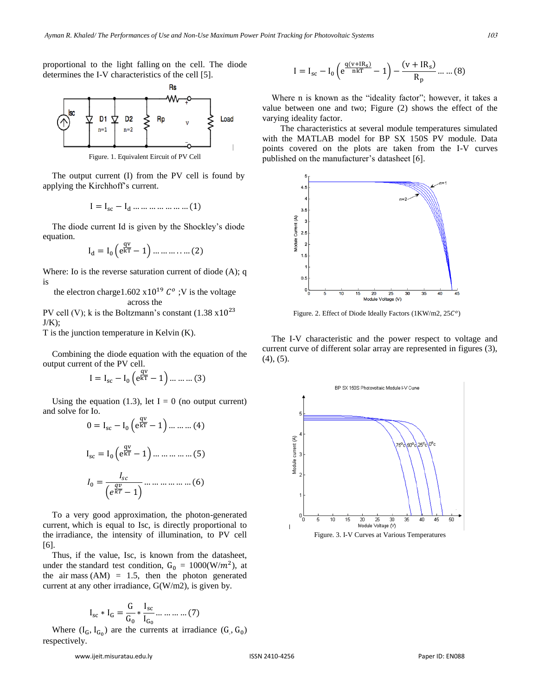proportional to the light falling on the cell. The diode determines the I-V characteristics of the cell [5].



The output current (I) from the PV cell is found by applying the Kirchhoff's current.

$$
I = I_{sc} - I_d \dots \dots \dots \dots \dots \dots (1)
$$

The diode current Id is given by the Shockley's diode equation.

$$
I_d = I_0 \left( e^{\frac{qv}{kT}} - 1 \right) \dots \dots \dots \dots \dots (2)
$$

Where: Io is the reverse saturation current of diode (A); q is

the electron charge1.602  $x10^{19}$   $C^{\circ}$ ; V is the voltage across the

PV cell (V); k is the Boltzmann's constant  $(1.38 \times 10^{23})$  $J/K);$ 

T is the junction temperature in Kelvin (K).

Combining the diode equation with the equation of the output current of the PV cell.

$$
I = I_{sc} - I_0 \left( e^{\frac{qv}{kT}} - 1 \right) \dots \dots \dots (3)
$$

Using the equation (1.3), let  $I = 0$  (no output current) and solve for Io.  $\sqrt{q}$ 

$$
0 = I_{sc} - I_0 \left( e^{\overline{kT}} - 1 \right) \dots \dots \dots (4)
$$

$$
I_{sc} = I_0 \left( e^{\overline{kT}} - 1 \right) \dots \dots \dots \dots (5)
$$

$$
I_0 = \frac{I_{sc}}{\left( e^{\frac{qv}{kT}} - 1 \right)} \dots \dots \dots \dots \dots (6)
$$

To a very good approximation, the photon-generated current, which is equal to Isc, is directly proportional to the irradiance, the intensity of illumination, to PV cell [6].

Thus, if the value, Isc, is known from the datasheet, under the standard test condition,  $G_0 = 1000(W/m^2)$ , at the air mass  $(AM) = 1.5$ , then the photon generated current at any other irradiance,  $G(W/m2)$ , is given by.

$$
I_{sc} * I_G = \frac{G}{G_0} * \frac{I_{sc}}{I_{G_0}} \dots \dots \dots \dots (7)
$$

Where  $(I_G, I_{G_0})$  are the currents at irradiance  $(G, G_0)$ respectively.

www.ijeit.misuratau.edu.ly ISSN 2410-4256 Paper ID: EN088

$$
\overbrace{\qquad \qquad }
$$

published on the manufacturer's datasheet [6].

 $I = I_{sc} - I_0 \left( e^{\frac{q(v+IR_s)}{nkT}} - 1 \right) - \frac{(v+IR_s)}{n}$ 

varying ideality factor.

 $4.5$ 

Where n is known as the "ideality factor"; however, it takes a value between one and two; Figure (2) shows the effect of the

 The characteristics at several module temperatures simulated with the MATLAB model for BP SX 150S PV module. Data points covered on the plots are taken from the I-V curves



Figure. 2. Effect of Diode Ideally Factors (1KW/m2, 25C<sup>o</sup>)

The I-V characteristic and the power respect to voltage and current curve of different solar array are represented in figures (3),  $(4)$ ,  $(5)$ .



 $\frac{S^2}{R_p}$  ... ... (8)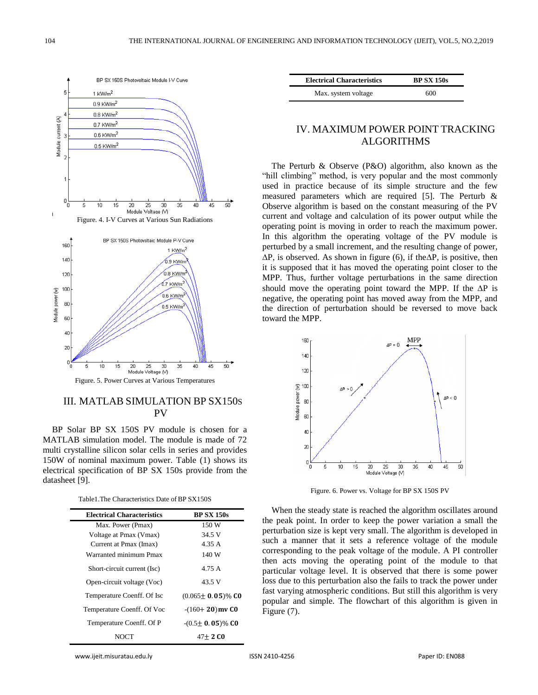



Figure. 5. Power Curves at Various Temperatures

### III. MATLAB SIMULATION BP SX150S PV

BP Solar BP SX 150S PV module is chosen for a MATLAB simulation model. The module is made of 72 multi crystalline silicon solar cells in series and provides 150W of nominal maximum power. Table (1) shows its electrical specification of BP SX 150s provide from the datasheet [9].

| Table 1. The Characteristics Date of BP SX150S |  |
|------------------------------------------------|--|
|------------------------------------------------|--|

| <b>Electrical Characteristics</b> | <b>BP SX 150s</b>       |
|-----------------------------------|-------------------------|
| Max. Power (Pmax)                 | 150 W                   |
| Voltage at Pmax (Vmax)            | 34.5 V                  |
| Current at Pmax (Imax)            | 4.35 A                  |
| Warranted minimum Pmax            | 140 W                   |
| Short-circuit current (Isc)       | 4.75 A                  |
| Open-circuit voltage (Voc)        | 43.5 V                  |
| Temperature Coenff. Of Isc        | $(0.065 \pm 0.05)\%$ CO |
| Temperature Coenff. Of Voc        | $-(160+20)$ mv CO       |
| Temperature Coenff. Of P          | $-(0.5\pm 0.05)\%$ CO   |
| NOCT                              | $47+2$ CO               |

| <b>Electrical Characteristics</b> | <b>BP SX 150s</b> |
|-----------------------------------|-------------------|
| Max. system voltage               | 600               |

## IV. MAXIMUM POWER POINT TRACKING ALGORITHMS

The Perturb & Observe (P&O) algorithm, also known as the "hill climbing" method, is very popular and the most commonly used in practice because of its simple structure and the few measured parameters which are required [5]. The Perturb & Observe algorithm is based on the constant measuring of the PV current and voltage and calculation of its power output while the operating point is moving in order to reach the maximum power. In this algorithm the operating voltage of the PV module is perturbed by a small increment, and the resulting change of power,  $\Delta P$ , is observed. As shown in figure (6), if the  $\Delta P$ , is positive, then it is supposed that it has moved the operating point closer to the MPP. Thus, further voltage perturbations in the same direction should move the operating point toward the MPP. If the  $\Delta P$  is negative, the operating point has moved away from the MPP, and the direction of perturbation should be reversed to move back toward the MPP.



Figure. 6. Power vs. Voltage for BP SX 150S PV

When the steady state is reached the algorithm oscillates around the peak point. In order to keep the power variation a small the perturbation size is kept very small. The algorithm is developed in such a manner that it sets a reference voltage of the module corresponding to the peak voltage of the module. A PI controller then acts moving the operating point of the module to that particular voltage level. It is observed that there is some power loss due to this perturbation also the fails to track the power under fast varying atmospheric conditions. But still this algorithm is very popular and simple. The flowchart of this algorithm is given in Figure (7).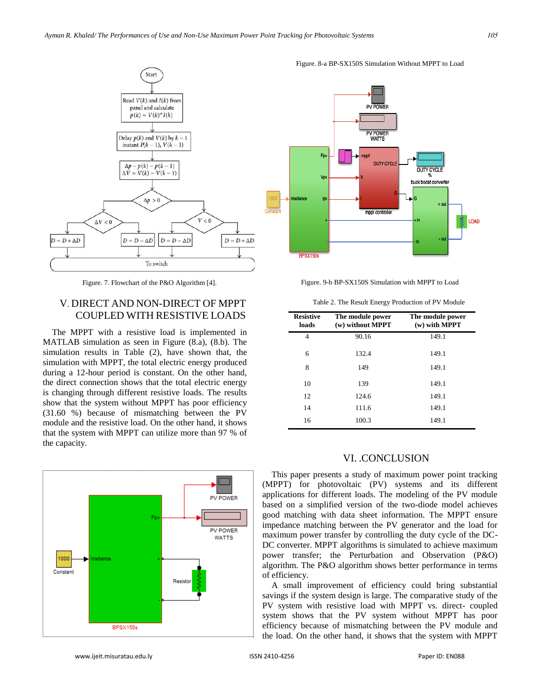

Figure. 7. Flowchart of the P&O Algorithm [4].

## V. DIRECT AND NON-DIRECT OF MPPT COUPLED WITH RESISTIVE LOADS

The MPPT with a resistive load is implemented in MATLAB simulation as seen in Figure (8.a), (8.b). The simulation results in Table (2), have shown that, the simulation with MPPT, the total electric energy produced during a 12-hour period is constant. On the other hand, the direct connection shows that the total electric energy is changing through different resistive loads. The results show that the system without MPPT has poor efficiency (31.60 %) because of mismatching between the PV module and the resistive load. On the other hand, it shows that the system with MPPT can utilize more than 97 % of the capacity.







Figure. 8-a BP-SX150S Simulation Without MPPT to Load

Figure. 9-b BP-SX150S Simulation with MPPT to Load

Table 2. The Result Energy Production of PV Module

| <b>Resistive</b><br>loads | The module power<br>(w) without MPPT | The module power<br>(w) with MPPT |
|---------------------------|--------------------------------------|-----------------------------------|
| 4                         | 90.16                                | 149.1                             |
| 6                         | 132.4                                | 149.1                             |
| 8                         | 149                                  | 149.1                             |
| 10                        | 139                                  | 149.1                             |
| 12                        | 124.6                                | 149.1                             |
| 14                        | 111.6                                | 149.1                             |
| 16                        | 100.3                                | 149.1                             |

#### VI. .CONCLUSION

This paper presents a study of maximum power point tracking (MPPT) for photovoltaic (PV) systems and its different applications for different loads. The modeling of the PV module based on a simplified version of the two-diode model achieves good matching with data sheet information. The MPPT ensure impedance matching between the PV generator and the load for maximum power transfer by controlling the duty cycle of the DC-DC converter. MPPT algorithms is simulated to achieve maximum power transfer; the Perturbation and Observation (P&O) algorithm. The P&O algorithm shows better performance in terms of efficiency.

A small improvement of efficiency could bring substantial savings if the system design is large. The comparative study of the PV system with resistive load with MPPT vs. direct- coupled system shows that the PV system without MPPT has poor efficiency because of mismatching between the PV module and the load. On the other hand, it shows that the system with MPPT